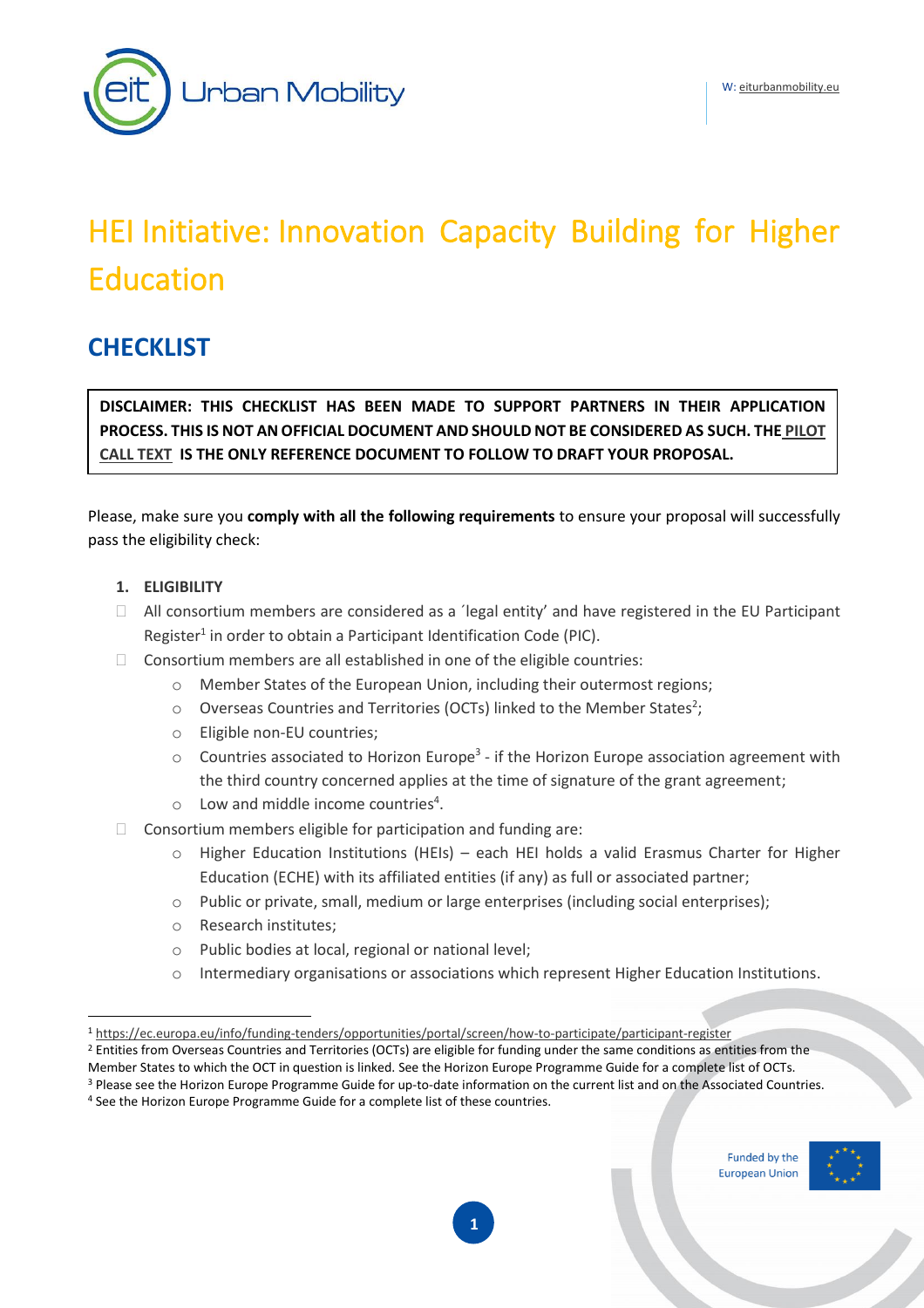

# HEI Initiative: Innovation Capacity Building for Higher Education

# **CHECKLIST**

**DISCLAIMER: THIS CHECKLIST HAS BEEN MADE TO SUPPORT PARTNERS IN THEIR APPLICATION PROCESS. THIS IS NOT AN OFFICIAL DOCUMENT AND SHOULD NOT BE CONSIDERED AS SUCH. THE [PILOT](https://www.eit-hei.eu/assets/pdf/hei-initiative-pilot-call-for-proposals.pdf)  [CALL TEXT](https://www.eit-hei.eu/assets/pdf/hei-initiative-pilot-call-for-proposals.pdf) IS THE ONLY REFERENCE DOCUMENT TO FOLLOW TO DRAFT YOUR PROPOSAL.** 

Please, make sure you **comply with all the following requirements** to ensure your proposal will successfully pass the eligibility check:

#### **1. ELIGIBILITY**

- $\Box$  All consortium members are considered as a 'legal entity' and have registered in the EU Participant Register<sup>1</sup> in order to obtain a Participant Identification Code (PIC).
- $\Box$  Consortium members are all established in one of the eligible countries:
	- o Member States of the European Union, including their outermost regions;
	- $\circ$  Overseas Countries and Territories (OCTs) linked to the Member States<sup>2</sup>;
	- o Eligible non-EU countries;
	- $\circ$  Countries associated to Horizon Europe<sup>3</sup> if the Horizon Europe association agreement with the third country concerned applies at the time of signature of the grant agreement;
	- $\circ$  Low and middle income countries<sup>4</sup>.
- $\Box$  Consortium members eligible for participation and funding are:
	- o Higher Education Institutions (HEIs) each HEI holds a valid Erasmus Charter for Higher Education (ECHE) with its affiliated entities (if any) as full or associated partner;
	- o Public or private, small, medium or large enterprises (including social enterprises);
	- o Research institutes;
	- o Public bodies at local, regional or national level;
	- o Intermediary organisations or associations which represent Higher Education Institutions.

Funded by the **European Union** 



<sup>1</sup> <https://ec.europa.eu/info/funding-tenders/opportunities/portal/screen/how-to-participate/participant-register>

 $2$  Entities from Overseas Countries and Territories (OCTs) are eligible for funding under the same conditions as entities from the

Member States to which the OCT in question is linked. See the Horizon Europe Programme Guide for a complete list of OCTs. <sup>3</sup> Please see the Horizon Europe Programme Guide for up-to-date information on the current list and on the Associated Countries.

<sup>4</sup> See the Horizon Europe Programme Guide for a complete list of these countries.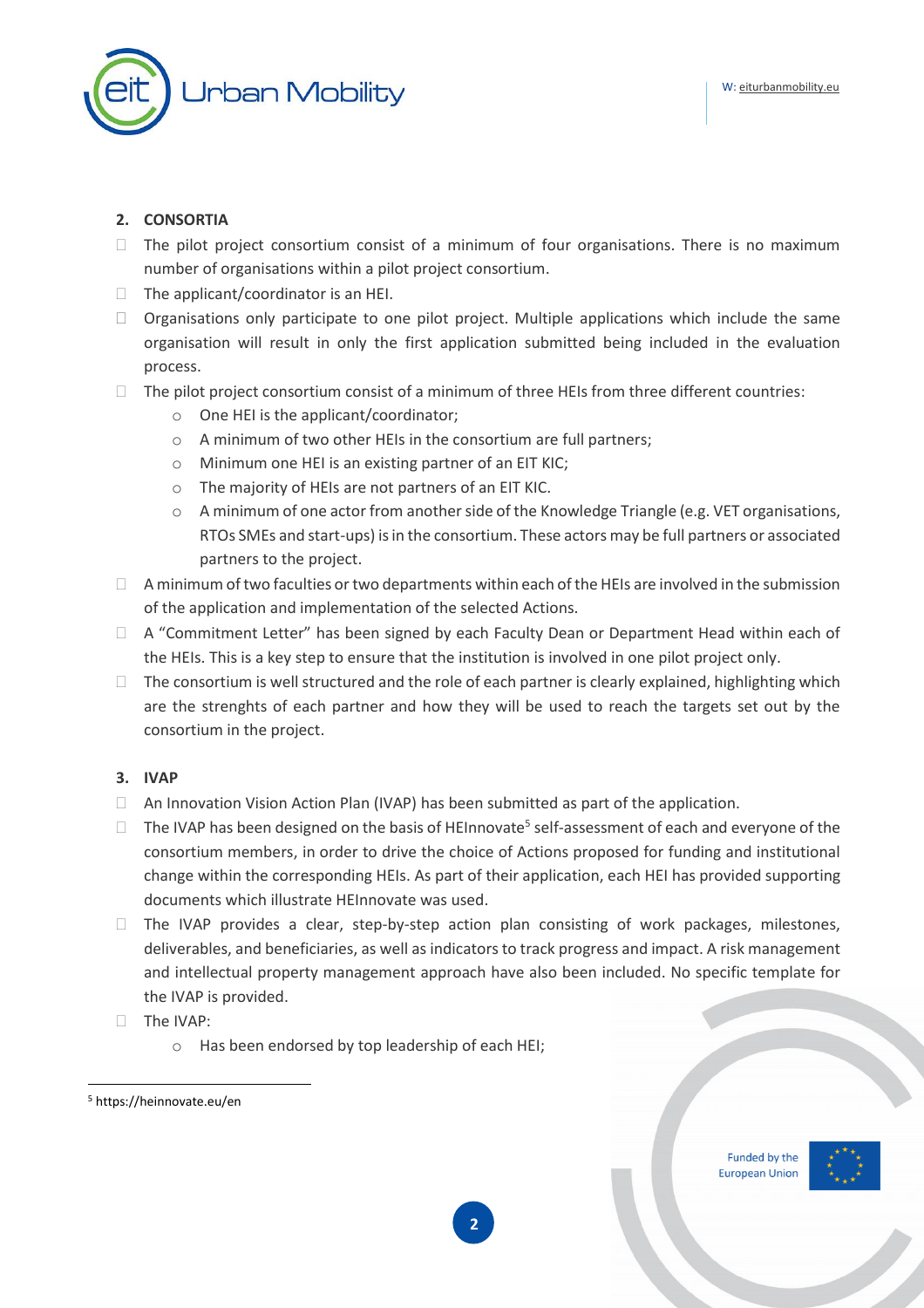

# **2. CONSORTIA**

- $\Box$  The pilot project consortium consist of a minimum of four organisations. There is no maximum number of organisations within a pilot project consortium.
- $\Box$  The applicant/coordinator is an HEI.
- $\Box$  Organisations only participate to one pilot project. Multiple applications which include the same organisation will result in only the first application submitted being included in the evaluation process.
- $\Box$  The pilot project consortium consist of a minimum of three HEIs from three different countries:
	- o One HEI is the applicant/coordinator;
	- o A minimum of two other HEIs in the consortium are full partners;
	- o Minimum one HEI is an existing partner of an EIT KIC;
	- o The majority of HEIs are not partners of an EIT KIC.
	- o A minimum of one actor from another side of the Knowledge Triangle (e.g. VET organisations, RTOs SMEs and start-ups) is in the consortium. These actors may be full partners or associated partners to the project.
- $\Box$  A minimum of two faculties or two departments within each of the HEIs are involved in the submission of the application and implementation of the selected Actions.
- $\Box$  A "Commitment Letter" has been signed by each Faculty Dean or Department Head within each of the HEIs. This is a key step to ensure that the institution is involved in one pilot project only.
- $\Box$  The consortium is well structured and the role of each partner is clearly explained, highlighting which are the strenghts of each partner and how they will be used to reach the targets set out by the consortium in the project.

## **3. IVAP**

- $\Box$  An Innovation Vision Action Plan (IVAP) has been submitted as part of the application.
- $\Box$  The IVAP has been designed on the basis of HEInnovate $^5$  self-assessment of each and everyone of the consortium members, in order to drive the choice of Actions proposed for funding and institutional change within the corresponding HEIs. As part of their application, each HEI has provided supporting documents which illustrate HEInnovate was used.
- $\Box$  The IVAP provides a clear, step-by-step action plan consisting of work packages, milestones, deliverables, and beneficiaries, as well as indicators to track progress and impact. A risk management and intellectual property management approach have also been included. No specific template for the IVAP is provided.
- The IVAP:
	- o Has been endorsed by top leadership of each HEI;





<sup>5</sup> https://heinnovate.eu/en